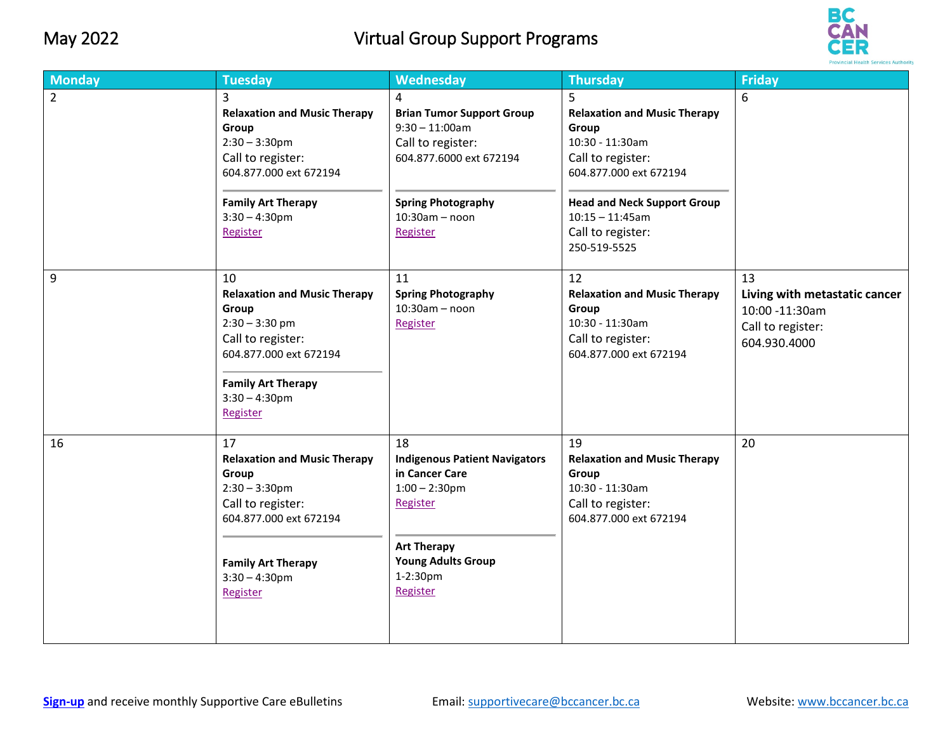## May 2022 Virtual Group Support Programs



| <b>Monday</b>  | <b>Tuesday</b>                                                                                                                                                                                 | Wednesday                                                                                                                                                               | <b>Thursday</b>                                                                                                                                                                                                      | <b>Friday</b>                                                                              |
|----------------|------------------------------------------------------------------------------------------------------------------------------------------------------------------------------------------------|-------------------------------------------------------------------------------------------------------------------------------------------------------------------------|----------------------------------------------------------------------------------------------------------------------------------------------------------------------------------------------------------------------|--------------------------------------------------------------------------------------------|
| $\overline{2}$ | $\overline{3}$<br><b>Relaxation and Music Therapy</b><br>Group<br>$2:30 - 3:30$ pm<br>Call to register:<br>604.877.000 ext 672194<br><b>Family Art Therapy</b><br>$3:30 - 4:30$ pm<br>Register | 4<br><b>Brian Tumor Support Group</b><br>$9:30 - 11:00$ am<br>Call to register:<br>604.877.6000 ext 672194<br><b>Spring Photography</b><br>$10:30am - noon$<br>Register | 5<br><b>Relaxation and Music Therapy</b><br>Group<br>10:30 - 11:30am<br>Call to register:<br>604.877.000 ext 672194<br><b>Head and Neck Support Group</b><br>$10:15 - 11:45$ am<br>Call to register:<br>250-519-5525 | 6                                                                                          |
| 9              | 10<br><b>Relaxation and Music Therapy</b><br>Group<br>$2:30 - 3:30$ pm<br>Call to register:<br>604.877.000 ext 672194<br><b>Family Art Therapy</b><br>$3:30 - 4:30$ pm<br>Register             | 11<br><b>Spring Photography</b><br>$10:30am - noon$<br>Register                                                                                                         | 12<br><b>Relaxation and Music Therapy</b><br>Group<br>10:30 - 11:30am<br>Call to register:<br>604.877.000 ext 672194                                                                                                 | 13<br>Living with metastatic cancer<br>10:00 -11:30am<br>Call to register:<br>604.930.4000 |
| 16             | 17<br><b>Relaxation and Music Therapy</b><br>Group<br>$2:30 - 3:30$ pm<br>Call to register:<br>604.877.000 ext 672194<br><b>Family Art Therapy</b><br>$3:30 - 4:30$ pm<br>Register             | 18<br><b>Indigenous Patient Navigators</b><br>in Cancer Care<br>$1:00 - 2:30$ pm<br>Register<br><b>Art Therapy</b><br><b>Young Adults Group</b><br>1-2:30pm<br>Register | 19<br><b>Relaxation and Music Therapy</b><br>Group<br>10:30 - 11:30am<br>Call to register:<br>604.877.000 ext 672194                                                                                                 | 20                                                                                         |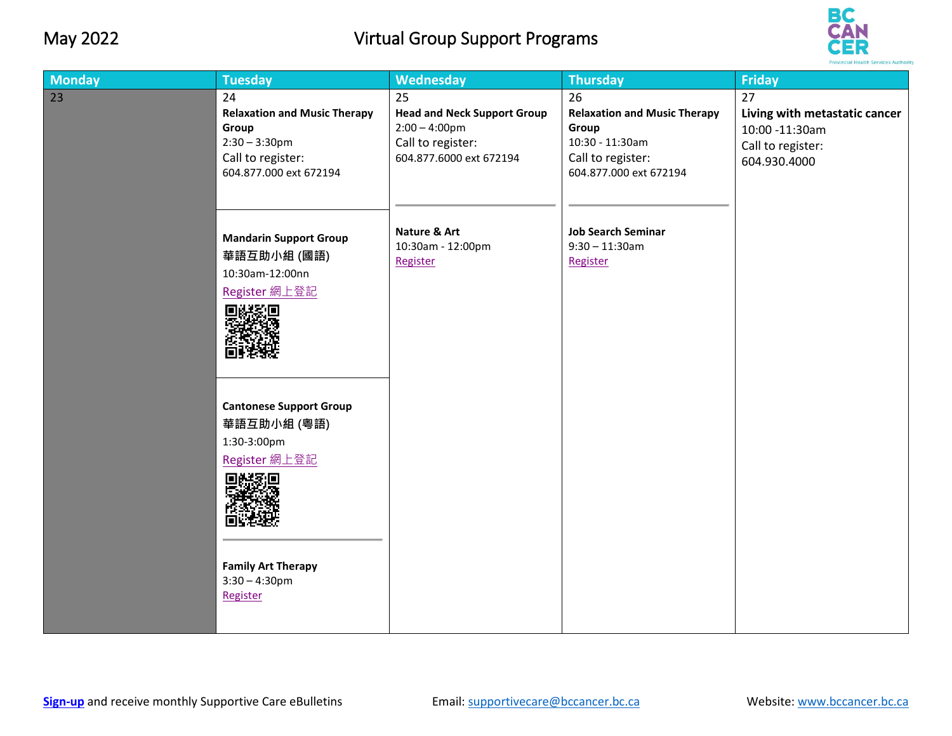## May 2022 Virtual Group Support Programs



| <b>Monday</b> | <b>Tuesday</b>                                                                                                             | <b>Wednesday</b>                                                                                             | <b>Thursday</b>                                                                                                      | <b>Friday</b>                                                                              |
|---------------|----------------------------------------------------------------------------------------------------------------------------|--------------------------------------------------------------------------------------------------------------|----------------------------------------------------------------------------------------------------------------------|--------------------------------------------------------------------------------------------|
| 23            | 24<br><b>Relaxation and Music Therapy</b><br>Group<br>$2:30 - 3:30$ pm<br>Call to register:<br>604.877.000 ext 672194      | 25<br><b>Head and Neck Support Group</b><br>$2:00 - 4:00$ pm<br>Call to register:<br>604.877.6000 ext 672194 | 26<br><b>Relaxation and Music Therapy</b><br>Group<br>10:30 - 11:30am<br>Call to register:<br>604.877.000 ext 672194 | 27<br>Living with metastatic cancer<br>10:00 -11:30am<br>Call to register:<br>604.930.4000 |
|               | <b>Mandarin Support Group</b><br>華語互助小組 (國語)<br>10:30am-12:00nn<br>Register 網上登記<br>回送奖回<br><b>Cantonese Support Group</b> | Nature & Art<br>10:30am - 12:00pm<br>Register                                                                | <b>Job Search Seminar</b><br>$9:30 - 11:30$ am<br>Register                                                           |                                                                                            |
|               | 華語互助小組 (粵語)<br>1:30-3:00pm<br>Register 網上登記<br>回送某回<br><b>Family Art Therapy</b><br>$3:30 - 4:30$ pm<br>Register           |                                                                                                              |                                                                                                                      |                                                                                            |